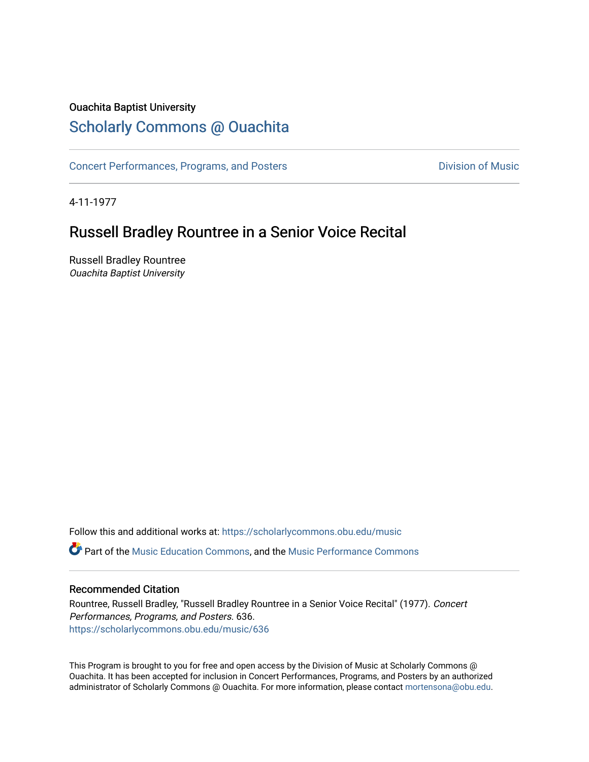# Ouachita Baptist University

# [Scholarly Commons @ Ouachita](https://scholarlycommons.obu.edu/)

[Concert Performances, Programs, and Posters](https://scholarlycommons.obu.edu/music) **Division of Music** Division of Music

4-11-1977

# Russell Bradley Rountree in a Senior Voice Recital

Russell Bradley Rountree Ouachita Baptist University

Follow this and additional works at: [https://scholarlycommons.obu.edu/music](https://scholarlycommons.obu.edu/music?utm_source=scholarlycommons.obu.edu%2Fmusic%2F636&utm_medium=PDF&utm_campaign=PDFCoverPages)  **C** Part of the [Music Education Commons,](http://network.bepress.com/hgg/discipline/1246?utm_source=scholarlycommons.obu.edu%2Fmusic%2F636&utm_medium=PDF&utm_campaign=PDFCoverPages) and the Music Performance Commons

## Recommended Citation

Rountree, Russell Bradley, "Russell Bradley Rountree in a Senior Voice Recital" (1977). Concert Performances, Programs, and Posters. 636. [https://scholarlycommons.obu.edu/music/636](https://scholarlycommons.obu.edu/music/636?utm_source=scholarlycommons.obu.edu%2Fmusic%2F636&utm_medium=PDF&utm_campaign=PDFCoverPages) 

This Program is brought to you for free and open access by the Division of Music at Scholarly Commons @ Ouachita. It has been accepted for inclusion in Concert Performances, Programs, and Posters by an authorized administrator of Scholarly Commons @ Ouachita. For more information, please contact [mortensona@obu.edu](mailto:mortensona@obu.edu).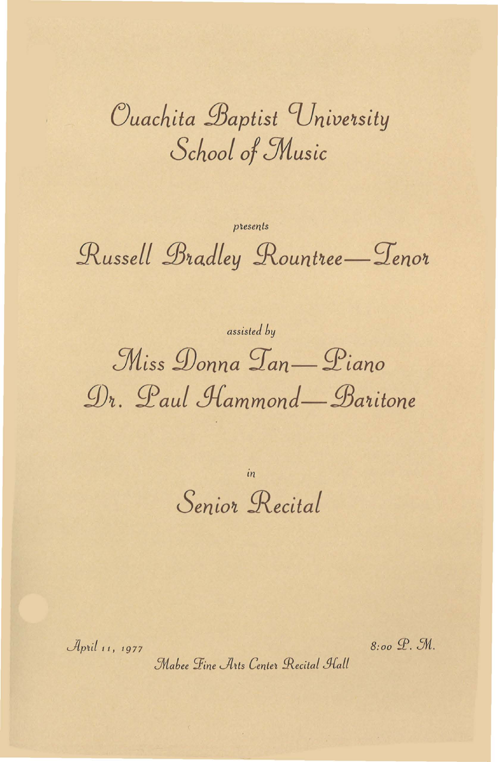Ouachita Baptist University School of Music

presents Russell Bradley Rountree-Tenor

assisted by Miss Donna Tan—Piano Dr. Paul Hammond—Baritone

> in Senior Recital

April 11, 1977

8:00 P. M.

Mabee Fine Arts Center Recital Hall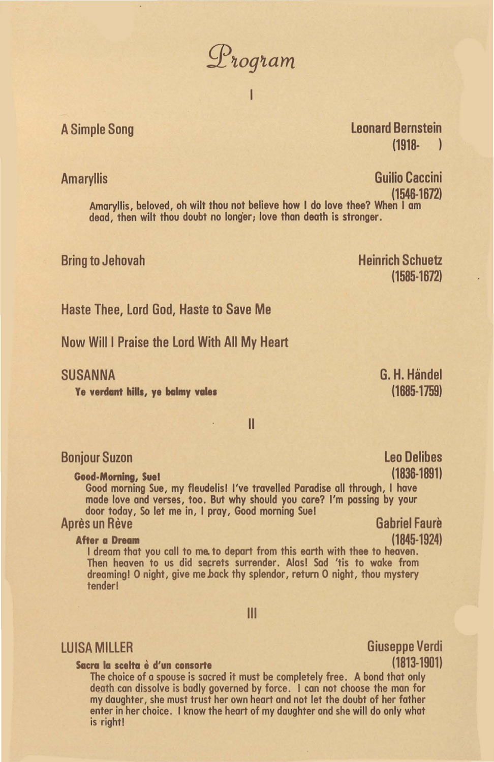$\mathcal{D}$ rogram

### П

A Simple Song **and Series and Series and Series and Series and Series and Series and Series and Series and Series and Series and Series and Series and Series and Series and Series and Series and Series and Series and Serie** (1918- )

Amaryllis **Guilio Caccini** 

(1546-1672)<br>Amaryllis, beloved, oh wilt thou not believe how I do love thee? When I am<br>dead, then wilt thou doubt no longer; love than death is stronger.

### Bring to Jehovah

Heinrich Schuetz  $(1585 - 1672)$ 

Haste Thee, lord God, Haste to Save Me

Now Willi Praise the lord With All My Heart

SUSANNA

Ye verdant hills, ye balmy vales

G. H. Handel (1685-1759)

> leo Delibes (1836-1891)

II

### Bonjour Suzan

Good-Morning, Sue!

Good morning Sue, my fleudelisl I've travelled Paradise all through, I hove made love and verses, too. But why should you care? I'm passing by your door today, So let me in, I pray, Good morning Sue! Après un Rève Gabriel Faure

After a Dream (1845-1924) I dream that you call to me, to depart from this earth with thee to heaven. Then heaven to us did secrets surrender. Alas! Sod 'tis to wake from dreaming! 0 night, give me back thy splendor, return 0 night, thou mystery tender!

Ill

### Sacra la scelta è d'un consorte (1813-1901)

The choice of a spouse is sacred it must be completely free. A bond that only death can dissolve is badly governed by force. I can not choose the man for my daughter, she must trust her own heart and not let the doubt of her father enter in her choice. I know the heart of my daughter and she will do only what is right!

LUISA MILLER Giuseppe Verdi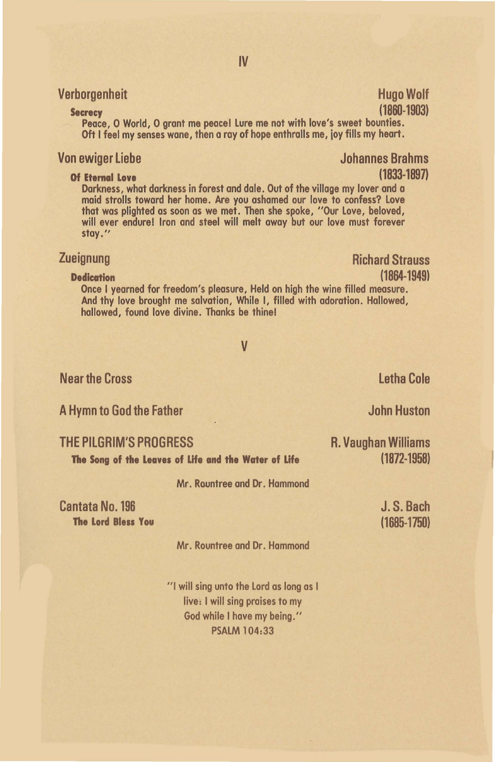## Verborgenheit Hugo Wolf

### Secrecy (1860-1903)

Peace, O World, O grant me peace! Lure me not with love's sweet bounties. Oft I feel my senses wane, then a ray of hope enthralls me, joy fills my heart.

### Von ewiger Liebe

Of Eternal Love maid strolls toward her home. Are you ashamed our love to confess? Love that was plighted as soon as we met. Then she spoke, "Our Love, beloved, will ever endure! Iron and steel will melt away but our love must forever stay."

letha Cole

John Huston

(1685-1750)

Dedication (1864-1949) And thy love brought me salvation, While I, filled with adoration. Hallowed, hallowed, found love divine. Thanks be thine!

v

Near the Cross

A Hymn to God the Father

| THE PILGRIM'S PROGRESS                               | R. Vaughan Williams |
|------------------------------------------------------|---------------------|
| The Song of the Leaves of Life and the Water of Life | $(1872 - 1958)$     |
| Mr. Rountree and Dr. Hammond                         |                     |
| <b>Cantata No. 196</b>                               | J.S. Bach           |

Cantata No. 196 The Lord Bless You

Mr. Rountree ond Dr. Hammond

"I will sing unto the Lord as long as I live: I will sing praises to my God while I have my being." PSALM 104:33

### IV

(1833-1897)

**Zueignung Christian Christian Christian Christian Christian Christian Christian Christian Christian Christian Christian Christian Christian Christian Christian Christian Christian Christian Christian Christian Christian C** 

Johannes Brahms